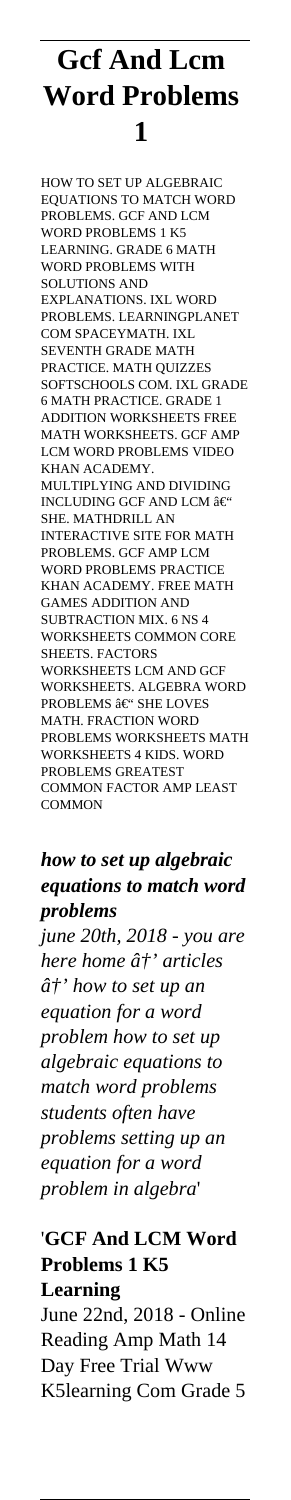## **Gcf And Lcm Word Problems 1**

HOW TO SET UP ALGEBRAIC EQUATIONS TO MATCH WORD PROBLEMS. GCF AND LCM WORD PROBLEMS 1 K5 LEARNING. GRADE 6 MATH WORD PROBLEMS WITH SOLUTIONS AND EXPLANATIONS. IXL WORD PROBLEMS. LEARNINGPLANET COM SPACEYMATH. IXL SEVENTH GRADE MATH PRACTICE. MATH QUIZZES SOFTSCHOOLS COM. IXL GRADE 6 MATH PRACTICE. GRADE 1 ADDITION WORKSHEETS FREE MATH WORKSHEETS. GCF AMP LCM WORD PROBLEMS VIDEO KHAN ACADEMY. MULTIPLYING AND DIVIDING INCLUDING GCF AND LCM  $\hat{\mathbf{a}} \in ^{\circ}$ SHE. MATHDRILL AN INTERACTIVE SITE FOR MATH PROBLEMS. GCF AMP LCM WORD PROBLEMS PRACTICE KHAN ACADEMY. FREE MATH GAMES ADDITION AND SUBTRACTION MIX. 6 NS 4 WORKSHEETS COMMON CORE SHEETS. FACTORS WORKSHEETS LCM AND GCF WORKSHEETS. ALGEBRA WORD PROBLEMS â $\in$ " SHE LOVES MATH. FRACTION WORD PROBLEMS WORKSHEETS MATH WORKSHEETS 4 KIDS. WORD PROBLEMS GREATEST COMMON FACTOR AMP LEAST **COMMON** 

## *how to set up algebraic equations to match word problems*

*june 20th, 2018 - you are here home*  $\hat{a}^{\dagger}$ *' articles*  $\hat{a}^{\dagger}$ ' how to set up an *equation for a word problem how to set up algebraic equations to match word problems students often have problems setting up an equation for a word problem in algebra*'

## '**GCF And LCM Word Problems 1 K5 Learning** June 22nd, 2018 - Online Reading Amp Math 14 Day Free Trial Www K5learning Com Grade 5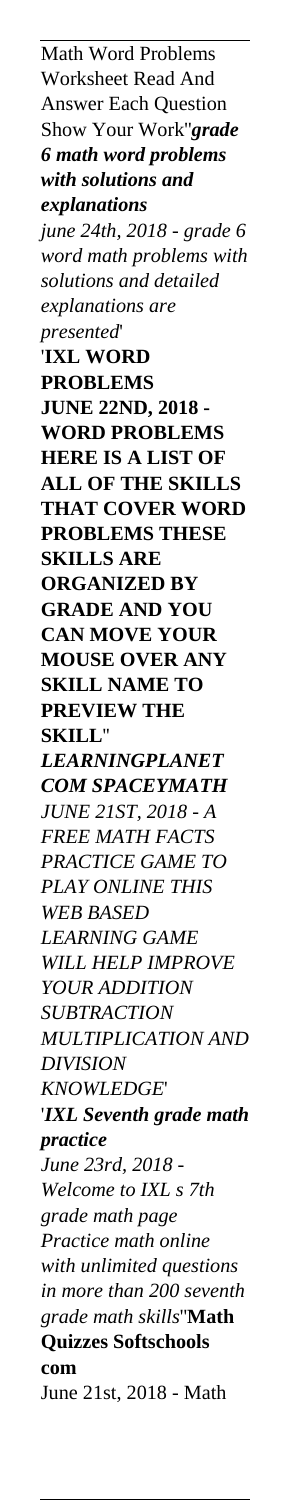Math Word Problems Worksheet Read And Answer Each Question Show Your Work''*grade 6 math word problems with solutions and explanations june 24th, 2018 - grade 6 word math problems with solutions and detailed explanations are presented*' '**IXL WORD PROBLEMS JUNE 22ND, 2018 - WORD PROBLEMS HERE IS A LIST OF ALL OF THE SKILLS THAT COVER WORD PROBLEMS THESE SKILLS ARE ORGANIZED BY GRADE AND YOU CAN MOVE YOUR MOUSE OVER ANY SKILL NAME TO PREVIEW THE SKILL**'' *LEARNINGPLANET COM SPACEYMATH JUNE 21ST, 2018 - A FREE MATH FACTS PRACTICE GAME TO PLAY ONLINE THIS WEB BASED LEARNING GAME WILL HELP IMPROVE YOUR ADDITION SUBTRACTION MULTIPLICATION AND DIVISION KNOWLEDGE*' '*IXL Seventh grade math practice June 23rd, 2018 - Welcome to IXL s 7th grade math page Practice math online with unlimited questions in more than 200 seventh grade math skills*''**Math Quizzes Softschools com** June 21st, 2018 - Math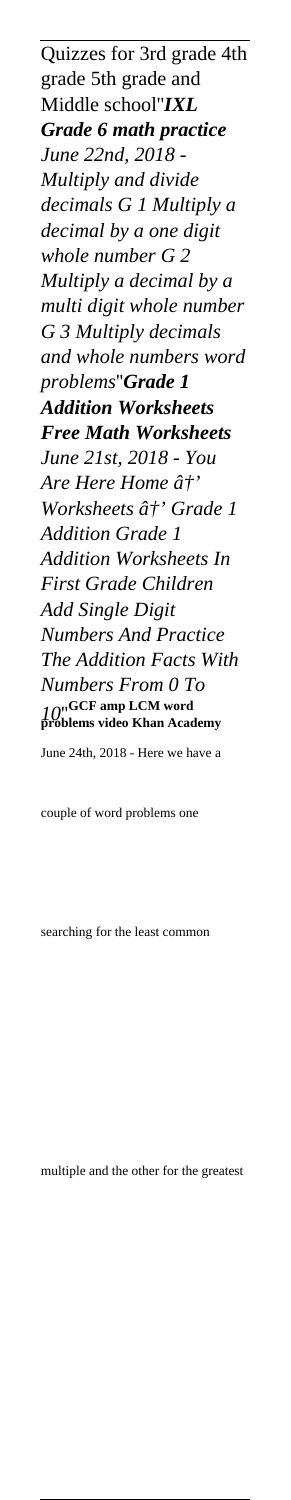Quizzes for 3rd grade 4th grade 5th grade and Middle school''*IXL Grade 6 math practice June 22nd, 2018 - Multiply and divide decimals G 1 Multiply a decimal by a one digit whole number G 2 Multiply a decimal by a multi digit whole number G 3 Multiply decimals and whole numbers word problems*''*Grade 1 Addition Worksheets Free Math Worksheets June 21st, 2018 - You* Are Here Home  $\hat{a}^{\dagger}$ ' *Worksheets â†* Grade 1 *Addition Grade 1 Addition Worksheets In First Grade Children Add Single Digit Numbers And Practice The Addition Facts With Numbers From 0 To 10*''**GCF amp LCM word problems video Khan Academy** June 24th, 2018 - Here we have a

couple of word problems one

searching for the least common

multiple and the other for the greatest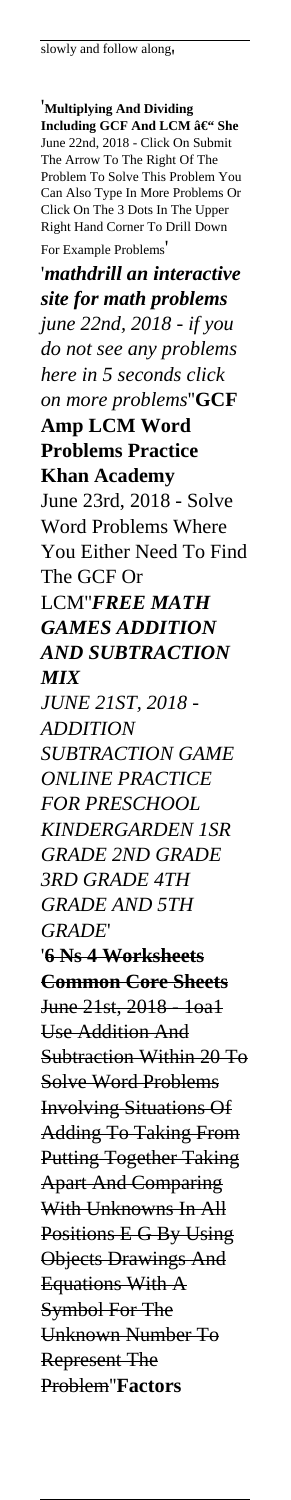'**Multiplying And Dividing Including GCF And LCM – She** June 22nd, 2018 - Click On Submit The Arrow To The Right Of The Problem To Solve This Problem You Can Also Type In More Problems Or Click On The 3 Dots In The Upper Right Hand Corner To Drill Down For Example Problems' '*mathdrill an interactive site for math problems june 22nd, 2018 - if you do not see any problems here in 5 seconds click on more problems*''**GCF Amp LCM Word Problems Practice Khan Academy** June 23rd, 2018 - Solve Word Problems Where You Either Need To Find The GCF Or LCM''*FREE MATH GAMES ADDITION AND SUBTRACTION MIX JUNE 21ST, 2018 - ADDITION SUBTRACTION GAME ONLINE PRACTICE FOR PRESCHOOL KINDERGARDEN 1SR GRADE 2ND GRADE 3RD GRADE 4TH GRADE AND 5TH GRADE*' '**6 Ns 4 Worksheets Common Core Sheets** June 21st, 2018 - 1oa1 Use Addition And Subtraction Within 20 To Solve Word Problems Involving Situations Of Adding To Taking From Putting Together Taking Apart And Comparing With Unknowns In All Positions E G By Using Objects Drawings And Equations With A Symbol For The Unknown Number To Represent The Problem''**Factors**